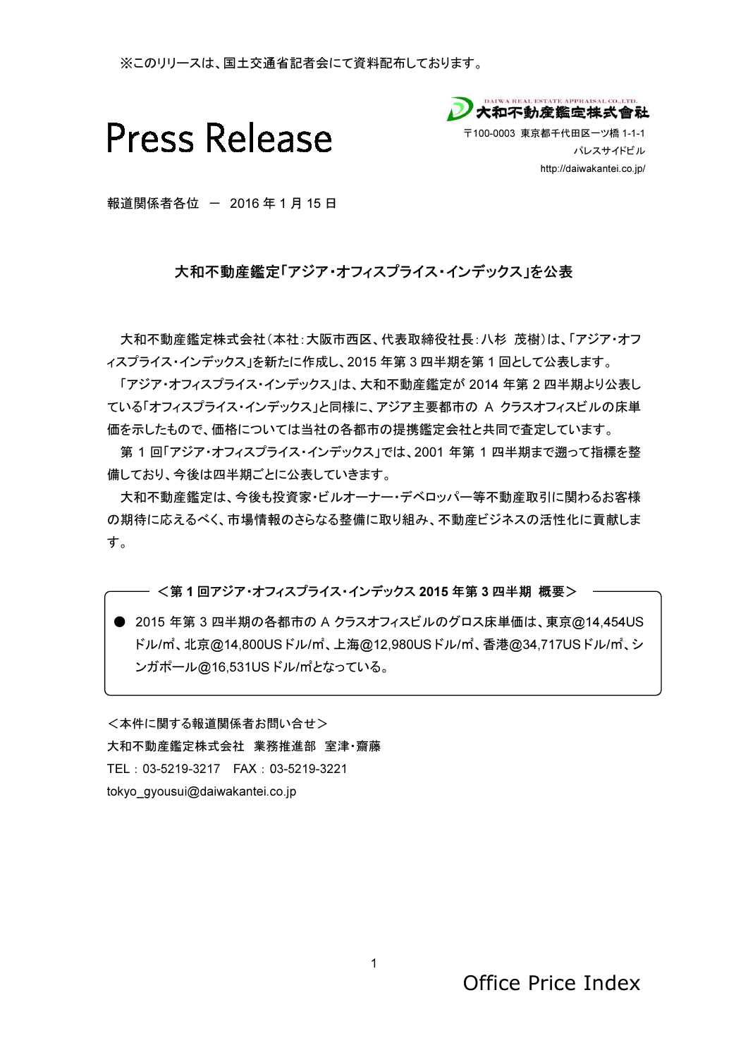※このリリースは、国土交通省記者会にて資料配布しております。



ツ橋 1-1-1

http://daiwakantei.co.jp/ パレスサイドビル

報道関係者各位 - 2016年1月15日

## 大和不動産鑑定「アジア・オフィスプライス・インデックス」を公表

大和不動産鑑定株式会社(本社:大阪市西区、代表取締役社長:八杉 茂樹)は、「 ィスプライス・インデックス」を新たに作成し、2015 年第3四半期を第1回として公表します。

「アジア・オフィスプライス・インデックス」は、大和不動産鑑定が 2014 年第 2 四半期より公表し ている「オフィスプライス・インデックス」と同様に、アジア主要都市の A クラスオフィスビルの床単 価を示したもので、価格については当社の各都市の提携鑑定会社と共同で査定しています。 このリリースは、国土交通省記者会にて資料記布しております。<br>
2009リースは、国土交通省記者会にて資料記布しております。<br>
2008年、T100-8000 京都千代前回<br>
同係者各位 - 2016 年 1 月 15 日<br>
大和不動産鑑定「アジア・オフィスブライス・インデックス」を公表<br>
http://daiwakantei.co.jp/<br>
400-2016 年 社会社大阪市西区、代表取締役社長: ハ杉 茂山は、「1793-17-7<br> フィスプライス・インデックス」を公表<br>E区、代表取締役社長:ハ杉 茂樹)は、「アジア・オフ<br>2015 年第3四半期を第1回として公表します。<br>- 2015 年第3四半期を第1回として公表します。<br>- 大和不動産鑑定が 2014 年第2四半期より公表し<br>- に、アジア主要都市の A クラスオフィスビルの床単<br>都市の提携鑑定会社と共同で査定しています。<br>- クス」では、2001 年第1四半期まで遡って指標を整<br>さます。<br>- ウスオフィスビル

第 1 回「アジア・オフィスプライス・インデックス」では、2001 年第 1 四半期まで遡って指標を整 備しており、今後は四半期ごとに公表していきます。

大和不動産鑑定は、今後も投資家・ビルオーナー・デベロッパ一等不動産取引に関わるお客様 の期待に応えるべく、市場情報のさらなる整備に取り組み、不動産ビジネスの活性化に貢献しま す。

<第1回アジア・オフィスプライス・インデックス 2015 年第3四半期 概要>

● 2015 年第 3 四半期の各都市の A クラスオフィスビルのグロス床単価は、東京@14,454US ドル/㎡、北京@14,800USドル/㎡、上海@12,980USドル/㎡、香港@34,717USドル/㎡、シ ンガポール@16,531US ドル/㎡となっている。

<本件に関する報道関係者お問い合せ> 大和不動産鑑定株式会社 業務推進部 室津·齋藤 TEL: 03-5219-3217 FAX: 03-5219-3221 tokyo\_gyousui@daiwakantei.co.jp

Office Price Index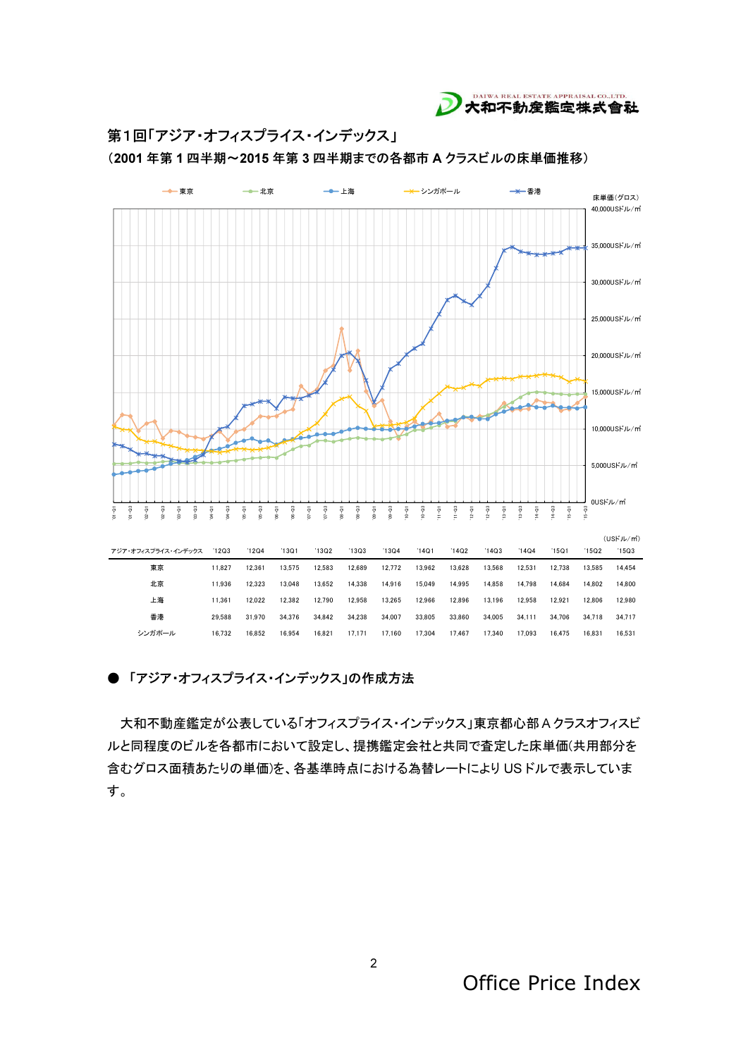

第1回「アジア・オフィスプライス・インデックス」

(2001年第1四半期~2015年第3四半期までの各都市 A クラスビルの床単価推移)



## ●「アジア・オフィスプライス・インデックス」の作成方法

大和不動産鑑定が公表している「オフィスプライス・インデックス」東京都心部Aクラスオフィスビ ルと同程度のビルを各都市において設定し、提携鑑定会社と共同で査定した床単価(共用部分を 含むグロス面積あたりの単価)を、各基準時点における為替レートにより USドルで表示していま す。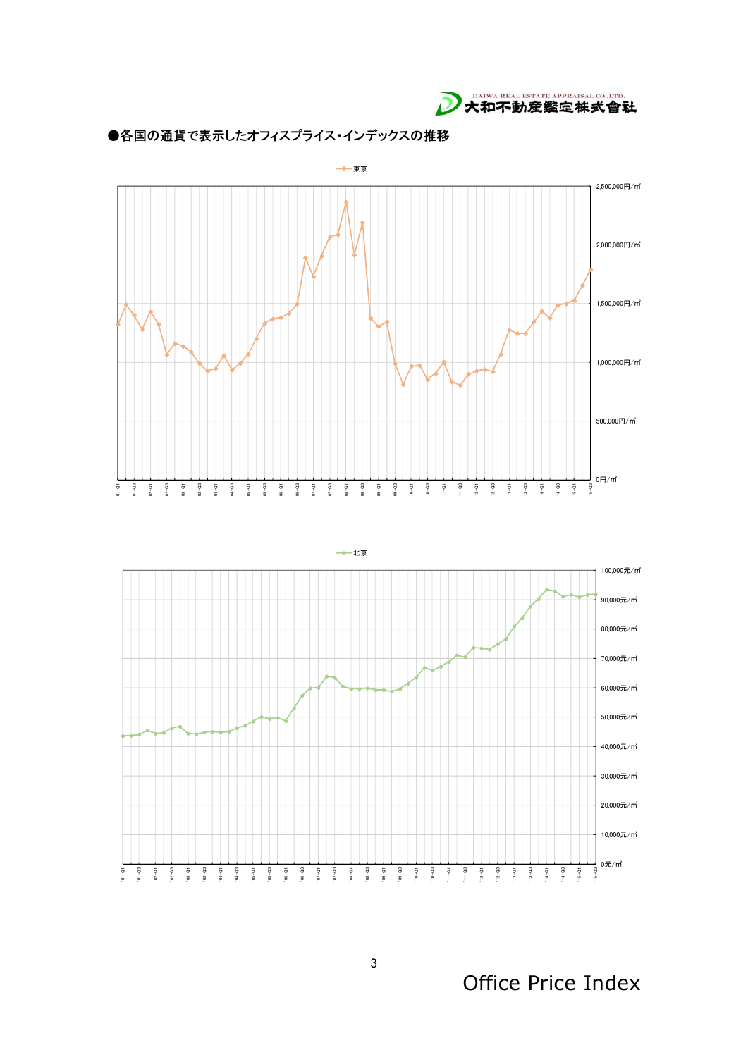







Office Price Index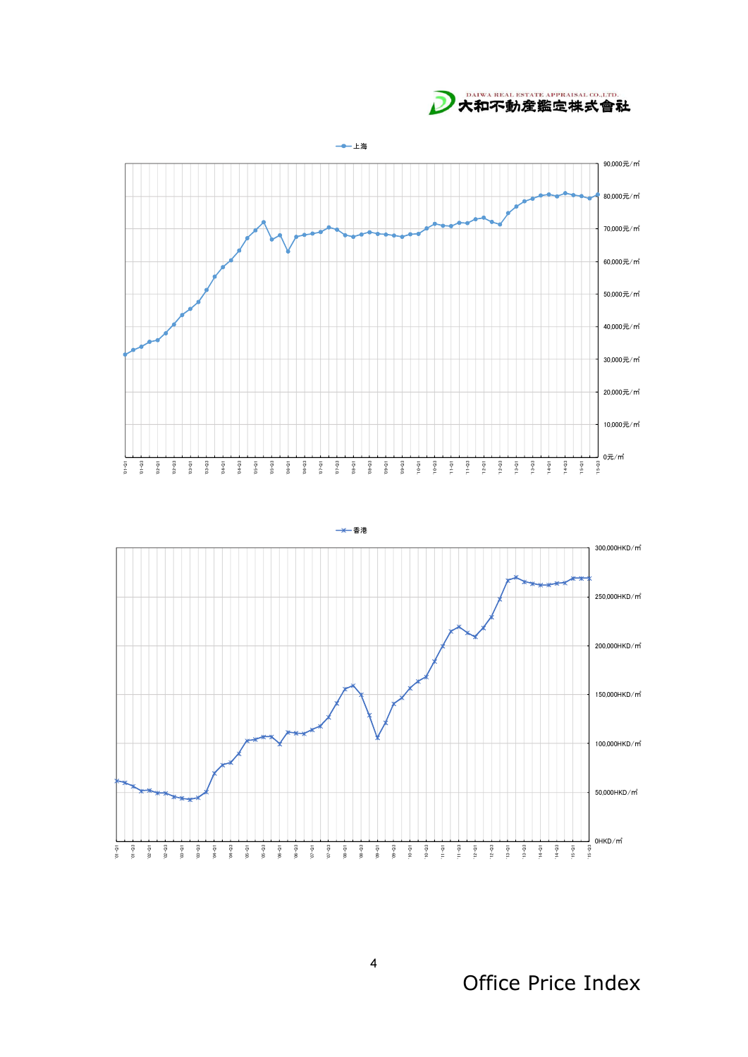D 大和不動産鑑定株式會社